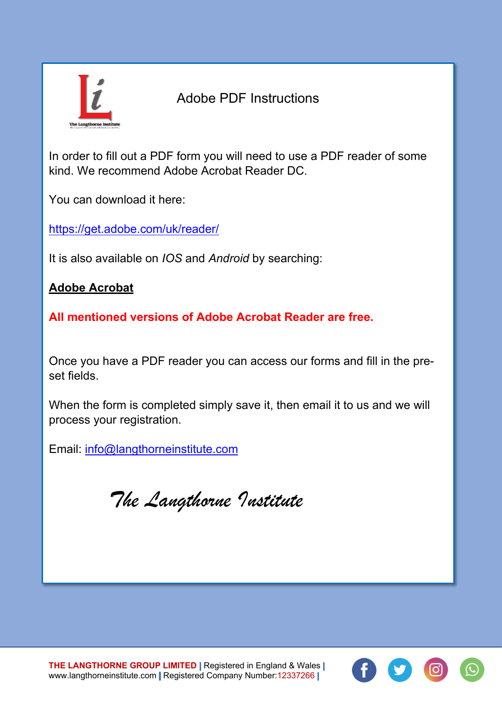

## Adobe PDF Instructions

In order to fill out a PDF form you will need to use a PDF reader of some kind. We recommend Adobe Acrobat Reader DC.

You can download it here:

<https://get.adobe.com/uk/reader/>

It is also available on *IOS* and *Android* by searching:

**Adobe Acrobat**

**All mentioned versions of Adobe Acrobat Reader are free.**

Once you have a PDF reader you can access our forms and fill in the preset fields.

When the form is completed simply save it, then email it to us and we will process your registration.

Email: [info@langthorneinstitute.com](mailto:info@langthorneinstitute.com)

*The Langthorne Institute*